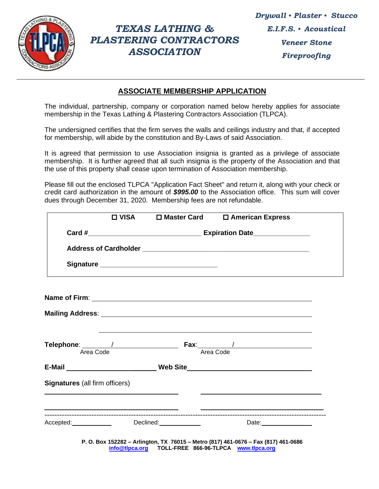

## *TEXAS LATHING & PLASTERING CONTRACTORS ASSOCIATION*

## **ASSOCIATE MEMBERSHIP APPLICATION**

The individual, partnership, company or corporation named below hereby applies for associate membership in the Texas Lathing & Plastering Contractors Association (TLPCA).

The undersigned certifies that the firm serves the walls and ceilings industry and that, if accepted for membership, will abide by the constitution and By-Laws of said Association.

It is agreed that permission to use Association insignia is granted as a privilege of associate membership. It is further agreed that all such insignia is the property of the Association and that the use of this property shall cease upon termination of Association membership.

Please fill out the enclosed TLPCA "Application Fact Sheet" and return it, along with your check or credit card authorization in the amount of *\$995.00* to the Association office. This sum will cover dues through December 31, 2020. Membership fees are not refundable.

|                                | □ VISA □ Master Card                             | □ American Express                                                                                                                                                                                                                                                                                                         |  |
|--------------------------------|--------------------------------------------------|----------------------------------------------------------------------------------------------------------------------------------------------------------------------------------------------------------------------------------------------------------------------------------------------------------------------------|--|
|                                |                                                  |                                                                                                                                                                                                                                                                                                                            |  |
|                                |                                                  |                                                                                                                                                                                                                                                                                                                            |  |
|                                |                                                  |                                                                                                                                                                                                                                                                                                                            |  |
|                                |                                                  |                                                                                                                                                                                                                                                                                                                            |  |
|                                | Name of Firm: <u>Name of Firm:</u> Name of Firm: |                                                                                                                                                                                                                                                                                                                            |  |
|                                |                                                  |                                                                                                                                                                                                                                                                                                                            |  |
|                                |                                                  |                                                                                                                                                                                                                                                                                                                            |  |
|                                |                                                  |                                                                                                                                                                                                                                                                                                                            |  |
|                                |                                                  |                                                                                                                                                                                                                                                                                                                            |  |
| Area Code                      |                                                  | Fax: $\qquad$ / $\qquad$ / $\qquad$ / $\qquad$ / $\qquad$ / $\qquad$ / $\qquad$ / $\qquad$ / $\qquad$ / $\qquad$ / $\qquad$ / $\qquad$ / $\qquad$ / $\qquad$ / $\qquad$ / $\qquad$ / $\qquad$ / $\qquad$ / $\qquad$ / $\qquad$ / $\qquad$ / $\qquad$ / $\qquad$ / $\qquad$ / $\qquad$ / $\qquad$ / $\qquad$ /<br>Area Code |  |
|                                |                                                  | E-Mail ________________________________Web Site_________________________________                                                                                                                                                                                                                                           |  |
|                                |                                                  |                                                                                                                                                                                                                                                                                                                            |  |
|                                |                                                  |                                                                                                                                                                                                                                                                                                                            |  |
| Signatures (all firm officers) |                                                  |                                                                                                                                                                                                                                                                                                                            |  |

**P. O. Box 152282 – Arlington, TX 76015 – Metro (817) 461-0676 – Fax (817) 461-0686 [info@tlpca.org](mailto:info@tlpca.org) TOLL-FREE 866-96-TLPCA [www.tlpca.org](http://www.tlpca.org/)**